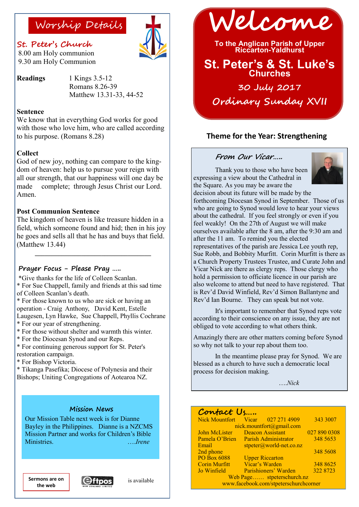### **St. Peter's Church**

8.00 am Holy communion 9.30 am Holy Communion

**Readings** 1 Kings 3.5-12 Romans 8.26-39 Matthew 13.31-33, 44-52

#### **Sentence**

We know that in everything God works for good with those who love him, who are called according to his purpose. (Romans 8.28)

#### **Collect**

God of new joy, nothing can compare to the kingdom of heaven: help us to pursue your reign with all our strength, that our happiness will one day be made complete; through Jesus Christ our Lord. Amen.

#### **Post Communion Sentence**

The kingdom of heaven is like treasure hidden in a field, which someone found and hid; then in his joy he goes and sells all that he has and buys that field. (Matthew 13.44)

**\_\_\_\_\_\_\_\_\_\_\_\_\_\_\_\_\_\_\_\_\_\_\_\_\_\_\_\_\_\_\_\_\_\_\_**

#### **Prayer Focus - Please Pray …..**

\*Give thanks for the life of Colleen Scanlan. \* For Sue Chappell, family and friends at this sad time of Colleen Scanlan's death.

\* For those known to us who are sick or having an operation - Craig Anthony, David Kent, Estelle Laugesen, Lyn Hawke, Sue Chappell, Phyllis Cochrane \* For our year of strengthening.

- 
- \* For those without shelter and warmth this winter.
- \* For the Diocesan Synod and our Reps.

\* For continuing generous support for St. Peter's restoration campaign.

\* For Bishop Victoria.

\* Tikanga Pasefika; Diocese of Polynesia and their Bishops; Uniting Congregations of Aotearoa NZ.

#### **Mission News**

Our Mission Table next week is for Dianne Bayley in the Philippines. Dianne is a NZCMS Mission Partner and works for Children's Bible Ministries. ….*Irene*

**the web**



Worship Details **Welcome**

**To the Anglican Parish of Upper Riccarton-Yaldhurst**

# **St. Peter's & St. Luke's Churches**

**30 July 2017 Ordinary Sunday XVII** 

### **Theme for the Year: Strengthening**

#### **From Our Vicar…..**

Thank you to those who have been expressing a view about the Cathedral in the Square. As you may be aware the



decision about its future will be made by the forthcoming Diocesan Synod in September. Those of us who are going to Synod would love to hear your views about the cathedral. If you feel strongly or even if you feel weakly! On the 27th of August we will make ourselves available after the 8 am, after the 9:30 am and after the 11 am. To remind you the elected representatives of the parish are Jessica Lee youth rep, Sue Robb, and Bobbity Murfitt. Corin Murfitt is there as a Church Property Trustees Trustee, and Curate John and Vicar Nick are there as clergy reps. Those clergy who hold a permission to officiate licence in our parish are also welcome to attend but need to have registered. That is Rev'd David Winfield, Rev'd Simon Ballantyne and Rev'd Ian Bourne. They can speak but not vote.

It's important to remember that Synod reps vote according to their conscience on any issue, they are not obliged to vote according to what others think.

Amazingly there are other matters coming before Synod so why not talk to your rep about them too.

In the meantime please pray for Synod. We are blessed as a church to have such a democratic local process for decision making.

….*Nick*

#### **Contact Us…..**

| Nick Mountfort Vicar 027 271 4909     |                             |                           | 343 3007     |
|---------------------------------------|-----------------------------|---------------------------|--------------|
| nick.mountfort@gmail.com              |                             |                           |              |
| John McLister                         | <b>Deacon Assistant</b>     |                           | 027 890 0308 |
| Pamela O'Brien                        | <b>Parish Administrator</b> |                           | 348 5653     |
| Email                                 |                             | $stpeter@world-net.co.nz$ |              |
| 2nd phone                             |                             |                           | 348 5608     |
| PO Box 6088                           |                             | <b>Upper Riccarton</b>    |              |
| <b>Corin Murfitt</b>                  | Vicar's Warden              |                           | 348 8625     |
| Jo Winfield                           |                             | Parishioners' Warden      | 322 8723     |
| Web Page stpeterschurch.nz            |                             |                           |              |
| www.facebook.com/stpeterschurchcorner |                             |                           |              |